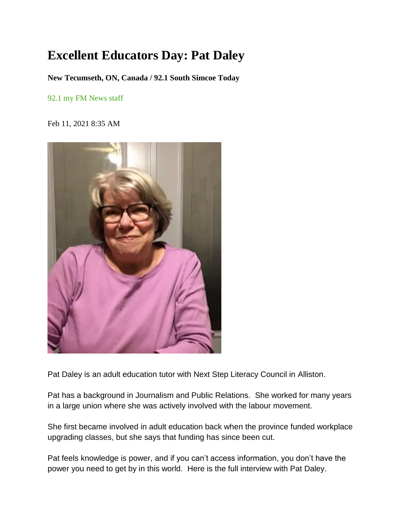## **Excellent Educators Day: Pat Daley**

**New Tecumseth, ON, Canada / 92.1 South Simcoe Today**

92.1 my FM [News](mailto:news921@mbcmedia.ca) staff

Feb 11, 2021 8:35 AM



Pat Daley is an adult education tutor with Next Step Literacy Council in Alliston.

Pat has a background in Journalism and Public Relations. She worked for many years in a large union where she was actively involved with the labour movement.

She first became involved in adult education back when the province funded workplace upgrading classes, but she says that funding has since been cut.

Pat feels knowledge is power, and if you can't access information, you don't have the power you need to get by in this world. Here is the full interview with Pat Daley.